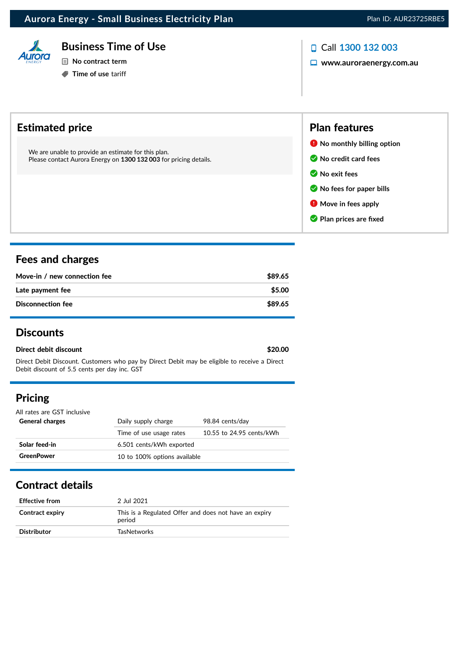

### **Business Time of Use**

**No contract term**

**Time of use** tariff

# Estimated price

We are unable to provide an estimate for this plan. Please contact Aurora Energy on **1300 132 003** for pricing details.

#### Plan features

**No monthly billing option**

Call **[1300](tel:1300 132 003) 132 003**

**[www.auroraenergy.com.au](https://www.auroraenergy.com.au/)**

- **No credit card fees**
- **No exit fees**
- **No fees for paper bills**
- **Move in fees apply**
- **Plan prices are fixed**

#### Fees and charges

| Move-in / new connection fee | \$89.65 |
|------------------------------|---------|
| Late payment fee             | \$5.00  |
| <b>Disconnection fee</b>     | \$89.65 |

## **Discounts**

| Direct debit discount                                                                        | \$20.00 |
|----------------------------------------------------------------------------------------------|---------|
| Direct Debit Discount. Customers who pay by Direct Debit may be eligible to receive a Direct |         |
| Debit discount of 5.5 cents per day inc. GST                                                 |         |

# Pricing

| All rates are GST inclusive |                              |                          |
|-----------------------------|------------------------------|--------------------------|
| <b>General charges</b>      | Daily supply charge          | 98.84 cents/day          |
|                             | Time of use usage rates      | 10.55 to 24.95 cents/kWh |
| Solar feed-in               | 6.501 cents/kWh exported     |                          |
| <b>GreenPower</b>           | 10 to 100% options available |                          |
|                             |                              |                          |

## Contract details

| <b>Effective from</b>  | 2 Jul 2021                                                      |
|------------------------|-----------------------------------------------------------------|
| <b>Contract expiry</b> | This is a Regulated Offer and does not have an expiry<br>period |
| <b>Distributor</b>     | <b>TasNetworks</b>                                              |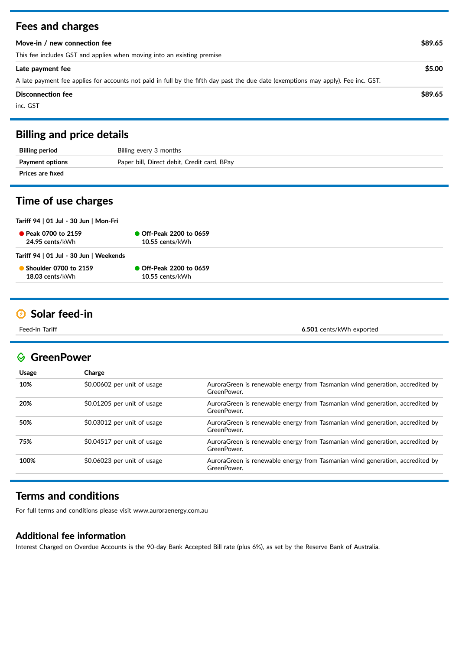| <b>Fees and charges</b>                                                                                                           |         |
|-----------------------------------------------------------------------------------------------------------------------------------|---------|
| Move-in / new connection fee                                                                                                      | \$89.65 |
| This fee includes GST and applies when moving into an existing premise                                                            |         |
| Late payment fee                                                                                                                  | \$5.00  |
| A late payment fee applies for accounts not paid in full by the fifth day past the due date (exemptions may apply). Fee inc. GST. |         |
| <b>Disconnection fee</b>                                                                                                          | \$89.65 |
| inc. GST                                                                                                                          |         |
|                                                                                                                                   |         |

# Billing and price details

| <b>Billing period</b> | Billing every 3 months                      |  |
|-----------------------|---------------------------------------------|--|
| Payment options       | Paper bill, Direct debit, Credit card, BPay |  |
| Prices are fixed      |                                             |  |

# Time of use charges

Tariff 94 | 01 Jul - 30 Jun | Mon-Fri

| ● Peak 0700 to 2159<br>24.95 cents/kWh | • Off-Peak 2200 to 0659<br>10.55 cents/kWh |  |
|----------------------------------------|--------------------------------------------|--|
| Tariff 94   01 Jul - 30 Jun   Weekends |                                            |  |
| Shoulder 0700 to 2159                  | • Off-Peak 2200 to 0659                    |  |
| 18.03 cents/kWh                        | 10.55 cents/kWh                            |  |

## Solar feed-in

Feed-In Tariff **6.501** cents/kWh exported

### **S** GreenPower

| <b>Usage</b> | Charge                      |                                                                                              |
|--------------|-----------------------------|----------------------------------------------------------------------------------------------|
| 10%          | \$0.00602 per unit of usage | AuroraGreen is renewable energy from Tasmanian wind generation, accredited by<br>GreenPower. |
| 20%          | \$0.01205 per unit of usage | AuroraGreen is renewable energy from Tasmanian wind generation, accredited by<br>GreenPower. |
| 50%          | \$0.03012 per unit of usage | AuroraGreen is renewable energy from Tasmanian wind generation, accredited by<br>GreenPower. |
| 75%          | \$0.04517 per unit of usage | AuroraGreen is renewable energy from Tasmanian wind generation, accredited by<br>GreenPower. |
| 100%         | \$0.06023 per unit of usage | AuroraGreen is renewable energy from Tasmanian wind generation, accredited by<br>GreenPower. |
|              |                             |                                                                                              |

### Terms and conditions

For full terms and conditions please visit www.auroraenergy.com.au

#### Additional fee information

Interest Charged on Overdue Accounts is the 90-day Bank Accepted Bill rate (plus 6%), as set by the Reserve Bank of Australia.